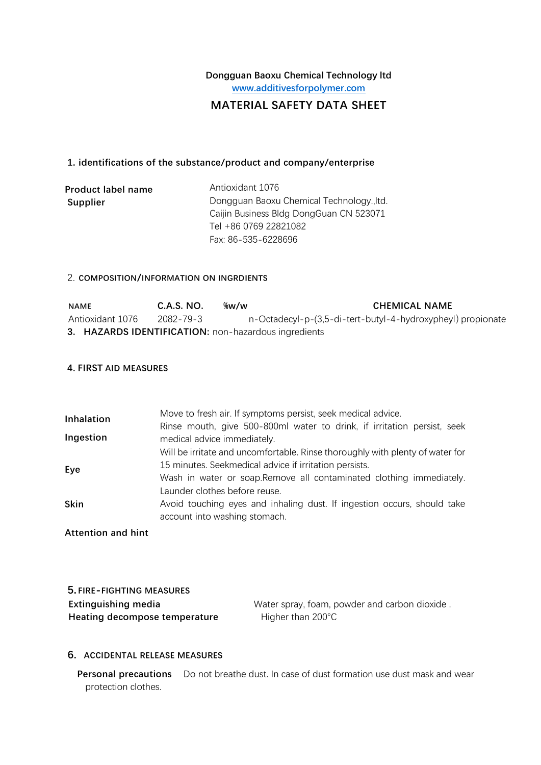# **Dongguan Baoxu Chemical Technology ltd [www.additivesforpolymer.com](http://www.sunychem.com/)**

## **MATERIAL SAFETY DATA SHEET**

#### **1. identifications of the substance/product and company/enterprise**

| Product label name | Antioxidant 1076                          |
|--------------------|-------------------------------------------|
| Supplier           | Dongguan Baoxu Chemical Technology., Itd. |
|                    | Caijin Business Bldg DongGuan CN 523071   |
|                    | Tel +86 0769 22821082                     |
|                    | Fax: 86-535-6228696                       |

#### 2. **COMPOSITION/INFORMATION ON INGRDIENTS**

| <b>NAME</b>                                          | C.A.S. NO. | ‰w/w | <b>CHEMICAL NAME</b>                                        |
|------------------------------------------------------|------------|------|-------------------------------------------------------------|
| Antioxidant 1076                                     | 2082-79-3  |      | n-Octadecyl-p-(3,5-di-tert-butyl-4-hydroxypheyl) propionate |
| 3. HAZARDS IDENTIFICATION: non-hazardous ingredients |            |      |                                                             |

## **4. FIRST AID MEASURES**

| Inhalation  | Move to fresh air. If symptoms persist, seek medical advice.                                           |
|-------------|--------------------------------------------------------------------------------------------------------|
| Ingestion   | Rinse mouth, give 500-800ml water to drink, if irritation persist, seek<br>medical advice immediately. |
|             | Will be irritate and uncomfortable. Rinse thoroughly with plenty of water for                          |
| Eye         | 15 minutes. Seekmedical advice if irritation persists.                                                 |
|             | Wash in water or soap. Remove all contaminated clothing immediately.                                   |
|             | Launder clothes before reuse.                                                                          |
| <b>Skin</b> | Avoid touching eyes and inhaling dust. If ingestion occurs, should take                                |
|             | account into washing stomach.                                                                          |

**Attention and hint**

| 5. FIRE-FIGHTING MEASURES     |
|-------------------------------|
| Extinguishing media           |
| Heating decompose temperature |

Water spray, foam, powder and carbon dioxide . **Higher than 200°C** 

## **6. ACCIDENTAL RELEASE MEASURES**

**Personal precautions** Do not breathe dust. In case of dust formation use dust mask and wear protection clothes.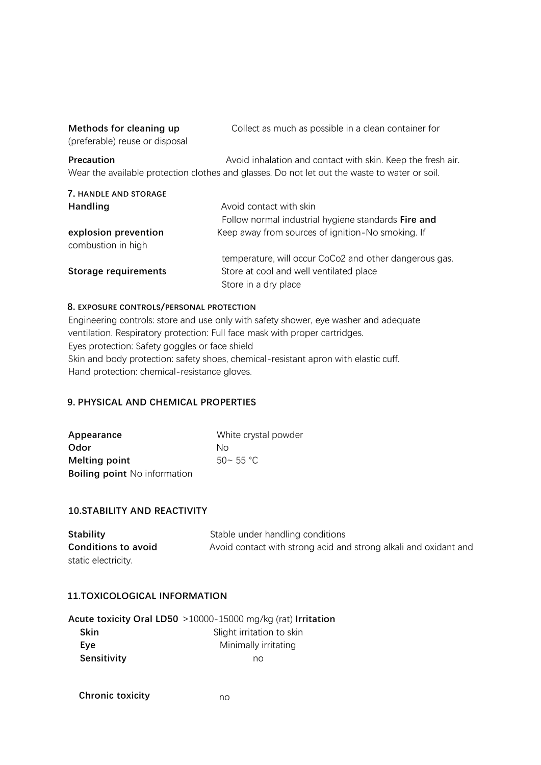| Methods for cleaning up        | Collect as much as possible in a clean container for        |
|--------------------------------|-------------------------------------------------------------|
| (preferable) reuse or disposal |                                                             |
|                                |                                                             |
| <b>Precaution</b>              | Avoid inhalation and contact with skin. Keep the fresh air. |

| 7. HANDLE AND STORAGE                      |                                                        |
|--------------------------------------------|--------------------------------------------------------|
| <b>Handling</b>                            | Avoid contact with skin                                |
|                                            | Follow normal industrial hygiene standards Fire and    |
| explosion prevention<br>combustion in high | Keep away from sources of ignition-No smoking. If      |
|                                            | temperature, will occur CoCo2 and other dangerous gas. |
| <b>Storage requirements</b>                | Store at cool and well ventilated place                |
|                                            | Store in a dry place                                   |

#### **8. EXPOSURE CONTROLS/PERSONAL PROTECTION**

Engineering controls: store and use only with safety shower, eye washer and adequate ventilation. Respiratory protection: Full face mask with proper cartridges. Eyes protection: Safety goggles or face shield Skin and body protection: safety shoes, chemical-resistant apron with elastic cuff. Hand protection: chemical-resistance gloves.

## **9. PHYSICAL AND CHEMICAL PROPERTIES**

| Appearance                          | White crystal powder |
|-------------------------------------|----------------------|
| Odor                                | Nο                   |
| <b>Melting point</b>                | $50 - 55$ °C         |
| <b>Boiling point</b> No information |                      |

## **10.STABILITY AND REACTIVITY**

| <b>Stability</b>           | Stable under handling conditions                                 |
|----------------------------|------------------------------------------------------------------|
| <b>Conditions to avoid</b> | Avoid contact with strong acid and strong alkali and oxidant and |
| static electricity.        |                                                                  |

## **11.TOXICOLOGICAL INFORMATION**

|             | Acute toxicity Oral LD50 >10000-15000 mg/kg (rat) Irritation |
|-------------|--------------------------------------------------------------|
| Skin        | Slight irritation to skin                                    |
| Eve         | Minimally irritating                                         |
| Sensitivity | no                                                           |

**Chronic toxicity** no